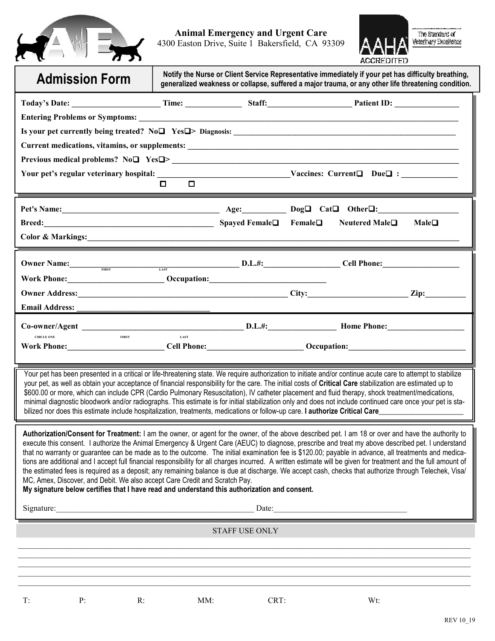

**Animal Emergency and Urgent Care** 4300 Easton Drive, Suite 1 Bakersfield, CA 93309



| <b>Admission Form</b>                                                                                                                                                                                                                                                                                                                                                                                                                                                                                                                                                                                                                                                                                                                                                                                                                                                                                                                                                     | AVVILUI CU<br>Notify the Nurse or Client Service Representative immediately if your pet has difficulty breathing,<br>generalized weakness or collapse, suffered a major trauma, or any other life threatening condition. |  |  |                                                                                                                |                        |  |
|---------------------------------------------------------------------------------------------------------------------------------------------------------------------------------------------------------------------------------------------------------------------------------------------------------------------------------------------------------------------------------------------------------------------------------------------------------------------------------------------------------------------------------------------------------------------------------------------------------------------------------------------------------------------------------------------------------------------------------------------------------------------------------------------------------------------------------------------------------------------------------------------------------------------------------------------------------------------------|--------------------------------------------------------------------------------------------------------------------------------------------------------------------------------------------------------------------------|--|--|----------------------------------------------------------------------------------------------------------------|------------------------|--|
|                                                                                                                                                                                                                                                                                                                                                                                                                                                                                                                                                                                                                                                                                                                                                                                                                                                                                                                                                                           |                                                                                                                                                                                                                          |  |  |                                                                                                                |                        |  |
|                                                                                                                                                                                                                                                                                                                                                                                                                                                                                                                                                                                                                                                                                                                                                                                                                                                                                                                                                                           | $\overline{\Box}$<br>$\Box$                                                                                                                                                                                              |  |  |                                                                                                                |                        |  |
| Color & Markings: The Color & Markings:                                                                                                                                                                                                                                                                                                                                                                                                                                                                                                                                                                                                                                                                                                                                                                                                                                                                                                                                   |                                                                                                                                                                                                                          |  |  | Neutered Male $\Box$                                                                                           | $\mathbf{Male}\square$ |  |
| Owner Name: THEST TIEST LAST D.L.#: Cell Phone: Call Phone:                                                                                                                                                                                                                                                                                                                                                                                                                                                                                                                                                                                                                                                                                                                                                                                                                                                                                                               |                                                                                                                                                                                                                          |  |  | City: 2008. 2010. 2010. 2010. 2010. 2010. 2010. 2010. 2010. 2010. 2010. 2010. 2010. 2010. 2010. 2010. 2010. 20 | Zip: $\qquad \qquad$   |  |
| <b>CIRCLE ONE</b><br><b>FIRST</b>                                                                                                                                                                                                                                                                                                                                                                                                                                                                                                                                                                                                                                                                                                                                                                                                                                                                                                                                         | LAST                                                                                                                                                                                                                     |  |  |                                                                                                                |                        |  |
| Your pet has been presented in a critical or life-threatening state. We require authorization to initiate and/or continue acute care to attempt to stabilize<br>your pet, as well as obtain your acceptance of financial responsibility for the care. The initial costs of Critical Care stabilization are estimated up to<br>\$600.00 or more, which can include CPR (Cardio Pulmonary Resuscitation), IV catheter placement and fluid therapy, shock treatment/medications,<br>minimal diagnostic bloodwork and/or radiographs. This estimate is for initial stabilization only and does not include continued care once your pet is sta-<br>bilized nor does this estimate include hospitalization, treatments, medications or follow-up care. I authorize Critical Care                                                                                                                                                                                               |                                                                                                                                                                                                                          |  |  |                                                                                                                |                        |  |
| Authorization/Consent for Treatment: I am the owner, or agent for the owner, of the above described pet. I am 18 or over and have the authority to<br>execute this consent. I authorize the Animal Emergency & Urgent Care (AEUC) to diagnose, prescribe and treat my above described pet. I understand<br>that no warranty or guarantee can be made as to the outcome. The initial examination fee is \$120.00; payable in advance, all treatments and medica-<br>tions are additional and I accept full financial responsibility for all charges incurred. A written estimate will be given for treatment and the full amount of<br>the estimated fees is required as a deposit; any remaining balance is due at discharge. We accept cash, checks that authorize through Telechek, Visa/<br>MC, Amex, Discover, and Debit. We also accept Care Credit and Scratch Pay.<br>My signature below certifies that I have read and understand this authorization and consent. |                                                                                                                                                                                                                          |  |  |                                                                                                                |                        |  |
| Signature:<br>Date:                                                                                                                                                                                                                                                                                                                                                                                                                                                                                                                                                                                                                                                                                                                                                                                                                                                                                                                                                       |                                                                                                                                                                                                                          |  |  |                                                                                                                |                        |  |
| <b>STAFF USE ONLY</b>                                                                                                                                                                                                                                                                                                                                                                                                                                                                                                                                                                                                                                                                                                                                                                                                                                                                                                                                                     |                                                                                                                                                                                                                          |  |  |                                                                                                                |                        |  |